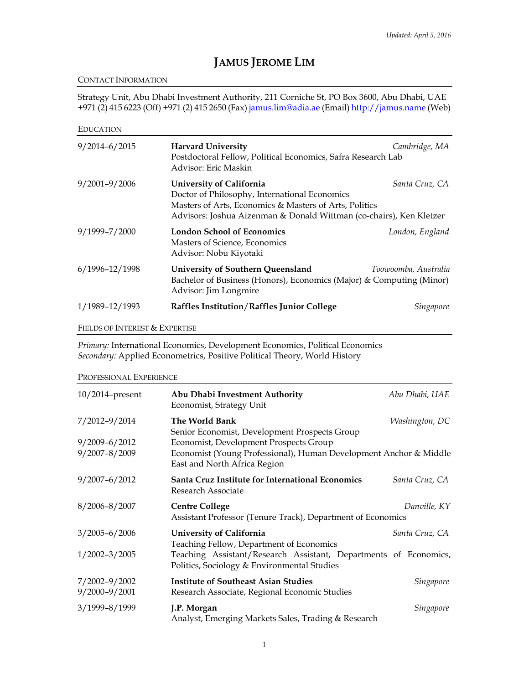# **JAMUS JEROME LIM**

## CONTACT INFORMATION

Strategy Unit, Abu Dhabi Investment Authority, 211 Corniche St, PO Box 3600, Abu Dhabi, UAE +971 (2) 415 6223 (Off) +971 (2) 415 2650 (Fax[\) jamus.lim@adia.ae](mailto:jamus.lim@adia.ae) (Email) [http://jamus.name](http://jamus.name/) (Web)

| <b>EDUCATION</b>               |                                                                                                                                                                                                            |                      |
|--------------------------------|------------------------------------------------------------------------------------------------------------------------------------------------------------------------------------------------------------|----------------------|
| $9/2014 - 6/2015$              | <b>Harvard University</b><br>Postdoctoral Fellow, Political Economics, Safra Research Lab<br>Advisor: Eric Maskin                                                                                          | Cambridge, MA        |
| $9/2001 - 9/2006$              | University of California<br>Doctor of Philosophy, International Economics<br>Masters of Arts, Economics & Masters of Arts, Politics<br>Advisors: Joshua Aizenman & Donald Wittman (co-chairs), Ken Kletzer | Santa Cruz, CA       |
| 9/1999-7/2000                  | <b>London School of Economics</b><br>Masters of Science, Economics<br>Advisor: Nobu Kiyotaki                                                                                                               | London, England      |
| 6/1996-12/1998                 | University of Southern Queensland<br>Bachelor of Business (Honors), Economics (Major) & Computing (Minor)<br>Advisor: Jim Longmire                                                                         | Toowoomba, Australia |
| 1/1989-12/1993                 | Raffles Institution/Raffles Junior College                                                                                                                                                                 | Singapore            |
| FIELDS OF INTEREST & EXPERTISE |                                                                                                                                                                                                            |                      |

*Primary:* International Economics, Development Economics, Political Economics *Secondary:* Applied Econometrics, Positive Political Theory, World History

PROFESSIONAL EXPERIENCE

| $10/2014$ -present                 | Abu Dhabi Investment Authority<br>Economist, Strategy Unit                                                      | Abu Dhabi, UAE |
|------------------------------------|-----------------------------------------------------------------------------------------------------------------|----------------|
| 7/2012-9/2014<br>$9/2009 - 6/2012$ | The World Bank<br>Senior Economist, Development Prospects Group<br>Economist, Development Prospects Group       | Washington, DC |
| $9/2007 - 8/2009$                  | Economist (Young Professional), Human Development Anchor & Middle<br>East and North Africa Region               |                |
| $9/2007 - 6/2012$                  | Santa Cruz Institute for International Economics<br>Research Associate                                          | Santa Cruz, CA |
| $8/2006 - 8/2007$                  | <b>Centre College</b><br>Assistant Professor (Tenure Track), Department of Economics                            | Danville, KY   |
| $3/2005 - 6/2006$                  | <b>University of California</b><br>Teaching Fellow, Department of Economics                                     | Santa Cruz, CA |
| $1/2002 - 3/2005$                  | Teaching Assistant/Research Assistant, Departments of Economics,<br>Politics, Sociology & Environmental Studies |                |
| 7/2002-9/2002<br>$9/2000 - 9/2001$ | <b>Institute of Southeast Asian Studies</b><br>Research Associate, Regional Economic Studies                    | Singapore      |
| 3/1999-8/1999                      | J.P. Morgan<br>Analyst, Emerging Markets Sales, Trading & Research                                              | Singapore      |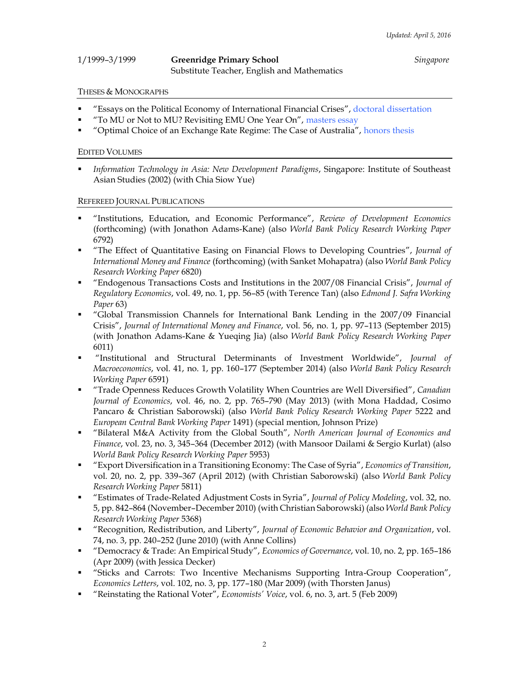| 1/1999-3/1999 | <b>Greenridge Primary School</b>            | Singapore |
|---------------|---------------------------------------------|-----------|
|               | Substitute Teacher, English and Mathematics |           |

#### THESES & MONOGRAPHS

- "Essays on the Political Economy of International Financial Crises", doctoral [dissertation](http://www.jamus.name/research/chapter0.pdf)
- "To MU or Not to MU? Revisiting EMU One Year On", [masters essay](http://www.jamus.name/research/if2.pdf)
- "Optimal Choice of an Exchange Rate Regime: The Case of Australia", [honors thesis](http://www.jamus.name/research/if1.pdf)

#### EDITED VOLUMES

 *Information Technology in Asia: New Development Paradigms*, Singapore: Institute of Southeast Asian Studies (2002) (with Chia Siow Yue)

#### REFEREED JOURNAL PUBLICATIONS

- "Institutions, Education, and Economic Performance", *Review of Development Economics* (forthcoming) (with Jonathon Adams-Kane) (also *World Bank Policy Research Working Paper* 6792)
- "The Effect of Quantitative Easing on Financial Flows to Developing Countries", *Journal of International Money and Finance* (forthcoming) (with Sanket Mohapatra) (also *World Bank Policy Research Working Paper* 6820)
- "Endogenous Transactions Costs and Institutions in the 2007/08 Financial Crisis", *Journal of Regulatory Economics*, vol. 49, no. 1, pp. 56–85 (with Terence Tan) (also *Edmond J. Safra Working Paper* 63)
- "Global Transmission Channels for International Bank Lending in the 2007/09 Financial Crisis", *Journal of International Money and Finance*, vol. 56, no. 1, pp. 97–113 (September 2015) (with Jonathon Adams-Kane & Yueqing Jia) (also *World Bank Policy Research Working Paper* 6011)
- "Institutional and Structural Determinants of Investment Worldwide", *Journal of Macroeconomics*, vol. 41, no. 1, pp. 160–177 (September 2014) (also *World Bank Policy Research Working Paper* 6591)
- "Trade Openness Reduces Growth Volatility When Countries are Well Diversified", *Canadian Journal of Economics*, vol. 46, no. 2, pp. 765–790 (May 2013) (with Mona Haddad, Cosimo Pancaro & Christian Saborowski) (also *World Bank Policy Research Working Paper* 5222 and *European Central Bank Working Paper* 1491) (special mention, Johnson Prize)
- "Bilateral M&A Activity from the Global South", *North American Journal of Economics and Finance*, vol. 23, no. 3, 345–364 (December 2012) (with Mansoor Dailami & Sergio Kurlat) (also *World Bank Policy Research Working Paper* 5953)
- "Export Diversification in a Transitioning Economy: The Case of Syria", *Economics of Transition*, vol. 20, no. 2, pp. 339–367 (April 2012) (with Christian Saborowski) (also *World Bank Policy Research Working Paper* 5811)
- "Estimates of Trade-Related Adjustment Costs in Syria", *Journal of Policy Modeling*, vol. 32, no. 5, pp. 842–864 (November–December 2010) (with Christian Saborowski) (also *World Bank Policy Research Working Paper* 5368)
- "Recognition, Redistribution, and Liberty", *Journal of Economic Behavior and Organization*, vol. 74, no. 3, pp. 240–252 (June 2010) (with Anne Collins)
- "Democracy & Trade: An Empirical Study", *Economics of Governance*, vol. 10, no. 2, pp. 165–186 (Apr 2009) (with Jessica Decker)
- "Sticks and Carrots: Two Incentive Mechanisms Supporting Intra-Group Cooperation", *Economics Letters*, vol. 102, no. 3, pp. 177–180 (Mar 2009) (with Thorsten Janus)
- "Reinstating the Rational Voter", *Economists' Voice*, vol. 6, no. 3, art. 5 (Feb 2009)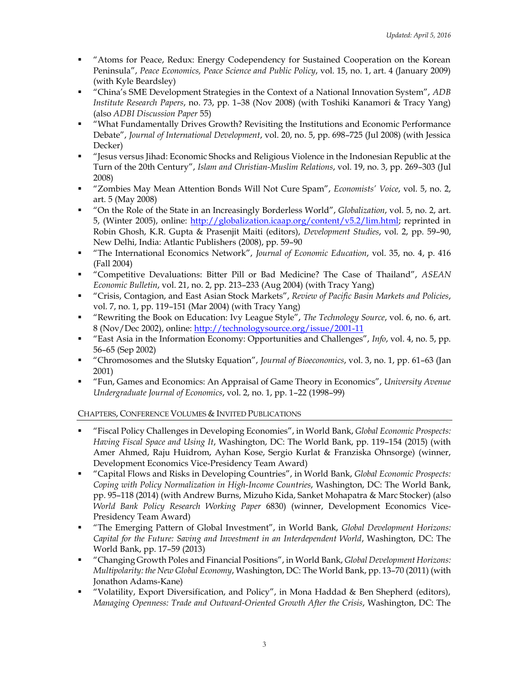- "Atoms for Peace, Redux: Energy Codependency for Sustained Cooperation on the Korean Peninsula", *Peace Economics, Peace Science and Public Policy*, vol. 15, no. 1, art. 4 (January 2009) (with Kyle Beardsley)
- "China's SME Development Strategies in the Context of a National Innovation System", *ADB Institute Research Papers*, no. 73, pp. 1–38 (Nov 2008) (with Toshiki Kanamori & Tracy Yang) (also *ADBI Discussion Paper* 55)
- "What Fundamentally Drives Growth? Revisiting the Institutions and Economic Performance Debate", *Journal of International Development*, vol. 20, no. 5, pp. 698–725 (Jul 2008) (with Jessica Decker)
- "Jesus versus Jihad: Economic Shocks and Religious Violence in the Indonesian Republic at the Turn of the 20th Century", *Islam and Christian-Muslim Relations*, vol. 19, no. 3, pp. 269–303 (Jul 2008)
- "Zombies May Mean Attention Bonds Will Not Cure Spam", *Economists' Voice*, vol. 5, no. 2, art. 5 (May 2008)
- "On the Role of the State in an Increasingly Borderless World", *Globalization*, vol. 5, no. 2, art. 5, (Winter 2005), online: [http://globalization.icaap.org/content/v5.2/lim.html;](http://globalization.icaap.org/content/v5.2/lim.html) reprinted in Robin Ghosh, K.R. Gupta & Prasenjit Maiti (editors), *Development Studies*, vol. 2, pp. 59–90, New Delhi, India: Atlantic Publishers (2008), pp. 59–90
- "The International Economics Network", *Journal of Economic Education*, vol. 35, no. 4, p. 416 (Fall 2004)
- "Competitive Devaluations: Bitter Pill or Bad Medicine? The Case of Thailand", *ASEAN Economic Bulletin*, vol. 21, no. 2, pp. 213–233 (Aug 2004) (with Tracy Yang)
- "Crisis, Contagion, and East Asian Stock Markets", *Review of Pacific Basin Markets and Policies*, vol. 7, no. 1, pp. 119–151 (Mar 2004) (with Tracy Yang)
- "Rewriting the Book on Education: Ivy League Style", *The Technology Source*, vol. 6, no. 6, art. 8 (Nov/Dec 2002), online:<http://technologysource.org/issue/2001-11>
- "East Asia in the Information Economy: Opportunities and Challenges", *Info*, vol. 4, no. 5, pp. 56–65 (Sep 2002)
- "Chromosomes and the Slutsky Equation", *Journal of Bioeconomics*, vol. 3, no. 1, pp. 61–63 (Jan 2001)
- "Fun, Games and Economics: An Appraisal of Game Theory in Economics", *University Avenue Undergraduate Journal of Economics*, vol. 2, no. 1, pp. 1–22 (1998–99)

CHAPTERS, CONFERENCE VOLUMES & INVITED PUBLICATIONS

- "Fiscal Policy Challenges in Developing Economies", in World Bank, *Global Economic Prospects: Having Fiscal Space and Using It*, Washington, DC: The World Bank, pp. 119–154 (2015) (with Amer Ahmed, Raju Huidrom, Ayhan Kose, Sergio Kurlat & Franziska Ohnsorge) (winner, Development Economics Vice-Presidency Team Award)
- "Capital Flows and Risks in Developing Countries", in World Bank, *Global Economic Prospects: Coping with Policy Normalization in High-Income Countries*, Washington, DC: The World Bank, pp. 95–118 (2014) (with Andrew Burns, Mizuho Kida, Sanket Mohapatra & Marc Stocker) (also *World Bank Policy Research Working Paper* 6830) (winner, Development Economics Vice-Presidency Team Award)
- "The Emerging Pattern of Global Investment", in World Bank, *Global Development Horizons: Capital for the Future: Saving and Investment in an Interdependent World*, Washington, DC: The World Bank, pp. 17–59 (2013)
- "Changing Growth Poles and Financial Positions", in World Bank, *Global Development Horizons: Multipolarity: the New Global Economy*, Washington, DC: The World Bank, pp. 13–70 (2011) (with Jonathon Adams-Kane)
- "Volatility, Export Diversification, and Policy", in Mona Haddad & Ben Shepherd (editors), *Managing Openness: Trade and Outward-Oriented Growth After the Crisis*, Washington, DC: The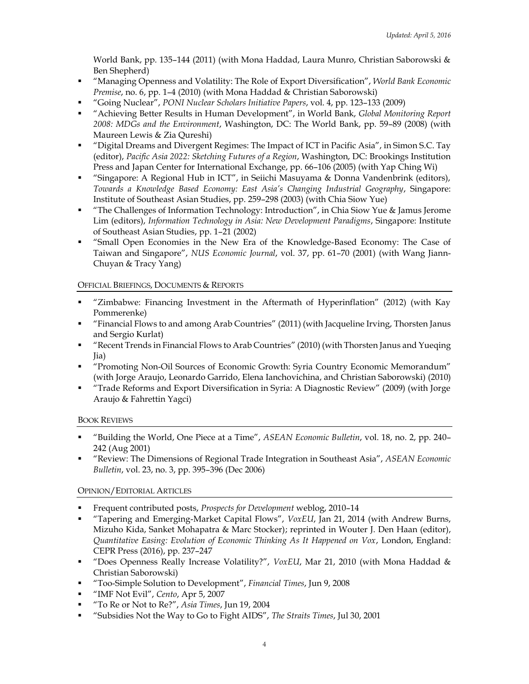World Bank, pp. 135–144 (2011) (with Mona Haddad, Laura Munro, Christian Saborowski & Ben Shepherd)

- "Managing Openness and Volatility: The Role of Export Diversification", *World Bank Economic Premise*, no. 6, pp. 1–4 (2010) (with Mona Haddad & Christian Saborowski)
- "Going Nuclear", *PONI Nuclear Scholars Initiative Papers*, vol. 4, pp. 123–133 (2009)
- "Achieving Better Results in Human Development", in World Bank, *Global Monitoring Report 2008: MDGs and the Environment*, Washington, DC: The World Bank, pp. 59–89 (2008) (with Maureen Lewis & Zia Qureshi)
- "Digital Dreams and Divergent Regimes: The Impact of ICT in Pacific Asia", in Simon S.C. Tay (editor), *Pacific Asia 2022: Sketching Futures of a Region*, Washington, DC: Brookings Institution Press and Japan Center for International Exchange, pp. 66–106 (2005) (with Yap Ching Wi)
- "Singapore: A Regional Hub in ICT", in Seiichi Masuyama & Donna Vandenbrink (editors), *Towards a Knowledge Based Economy: East Asia's Changing Industrial Geography*, Singapore: Institute of Southeast Asian Studies, pp. 259–298 (2003) (with Chia Siow Yue)
- "The Challenges of Information Technology: Introduction", in Chia Siow Yue & Jamus Jerome Lim (editors), *Information Technology in Asia: New Development Paradigms*, Singapore: Institute of Southeast Asian Studies, pp. 1–21 (2002)
- "Small Open Economies in the New Era of the Knowledge-Based Economy: The Case of Taiwan and Singapore", *NUS Economic Journal*, vol. 37, pp. 61–70 (2001) (with Wang Jiann-Chuyan & Tracy Yang)

# OFFICIAL BRIEFINGS, DOCUMENTS & REPORTS

- "Zimbabwe: Financing Investment in the Aftermath of Hyperinflation" (2012) (with Kay Pommerenke)
- "Financial Flows to and among Arab Countries" (2011) (with Jacqueline Irving, Thorsten Janus and Sergio Kurlat)
- "Recent Trends in Financial Flows to Arab Countries" (2010) (with Thorsten Janus and Yueqing Jia)
- "Promoting Non-Oil Sources of Economic Growth: Syria Country Economic Memorandum" (with Jorge Araujo, Leonardo Garrido, Elena Ianchovichina, and Christian Saborowski) (2010)
- "Trade Reforms and Export Diversification in Syria: A Diagnostic Review" (2009) (with Jorge Araujo & Fahrettin Yagci)

# BOOK REVIEWS

- "Building the World, One Piece at a Time", *ASEAN Economic Bulletin*, vol. 18, no. 2, pp. 240– 242 (Aug 2001)
- "Review: The Dimensions of Regional Trade Integration in Southeast Asia", *ASEAN Economic Bulletin*, vol. 23, no. 3, pp. 395–396 (Dec 2006)

# OPINION/EDITORIAL ARTICLES

- Frequent contributed posts, *Prospects for Development* weblog, 2010–14
- "Tapering and Emerging-Market Capital Flows", *VoxEU*, Jan 21, 2014 (with Andrew Burns, Mizuho Kida, Sanket Mohapatra & Marc Stocker); reprinted in Wouter J. Den Haan (editor), *Quantitative Easing: Evolution of Economic Thinking As It Happened on Vox*, London, England: CEPR Press (2016), pp. 237–247
- "Does Openness Really Increase Volatility?", *VoxEU*, Mar 21, 2010 (with Mona Haddad & Christian Saborowski)
- "Too-Simple Solution to Development", *Financial Times*, Jun 9, 2008
- "IMF Not Evil", *Cento*, Apr 5, 2007
- "To Re or Not to Re?", *Asia Times*, Jun 19, 2004
- "Subsidies Not the Way to Go to Fight AIDS", *The Straits Times*, Jul 30, 2001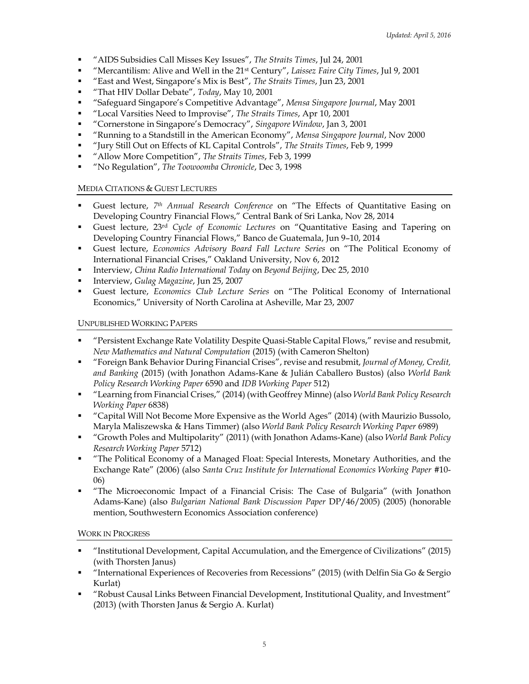- "AIDS Subsidies Call Misses Key Issues", *The Straits Times*, Jul 24, 2001
- "Mercantilism: Alive and Well in the 21st Century", *Laissez Faire City Times*, Jul 9, 2001
- "East and West, Singapore's Mix is Best", *The Straits Times*, Jun 23, 2001
- "That HIV Dollar Debate", *Today*, May 10, 2001
- "Safeguard Singapore's Competitive Advantage", *Mensa Singapore Journal*, May 2001
- "Local Varsities Need to Improvise", *The Straits Times*, Apr 10, 2001
- "Cornerstone in Singapore's Democracy", *Singapore Window*, Jan 3, 2001
- "Running to a Standstill in the American Economy", *Mensa Singapore Journal*, Nov 2000
- "Jury Still Out on Effects of KL Capital Controls", *The Straits Times*, Feb 9, 1999
- "Allow More Competition", *The Straits Times*, Feb 3, 1999
- "No Regulation", *The Toowoomba Chronicle*, Dec 3, 1998

## MEDIA CITATIONS & GUEST LECTURES

- Guest lecture, *7 th Annual Research Conference* on "The Effects of Quantitative Easing on Developing Country Financial Flows," Central Bank of Sri Lanka, Nov 28, 2014
- Guest lecture, 23 rd *Cycle of Economic Lectures* on "Quantitative Easing and Tapering on Developing Country Financial Flows," Banco de Guatemala, Jun 9–10, 2014
- Guest lecture, *Economics Advisory Board Fall Lecture Series* on "The Political Economy of International Financial Crises," Oakland University, Nov 6, 2012
- Interview, *China Radio International Today* on *Beyond Beijing*, Dec 25, 2010
- Interview, *Gulag Magazine*, Jun 25, 2007
- Guest lecture, *Economics Club Lecture Series* on "The Political Economy of International Economics," University of North Carolina at Asheville, Mar 23, 2007

## UNPUBLISHED WORKING PAPERS

- "Persistent Exchange Rate Volatility Despite Quasi-Stable Capital Flows," revise and resubmit, *New Mathematics and Natural Computation* (2015) (with Cameron Shelton)
- "Foreign Bank Behavior During Financial Crises", revise and resubmit, *Journal of Money, Credit, and Banking* (2015) (with Jonathon Adams-Kane & Julián Caballero Bustos) (also *World Bank Policy Research Working Paper* 6590 and *IDB Working Paper* 512)
- "Learning from Financial Crises," (2014) (with Geoffrey Minne) (also *World Bank Policy Research Working Paper* 6838)
- "Capital Will Not Become More Expensive as the World Ages" (2014) (with Maurizio Bussolo, Maryla Maliszewska & Hans Timmer) (also *World Bank Policy Research Working Paper* 6989)
- "Growth Poles and Multipolarity" (2011) (with Jonathon Adams-Kane) (also *World Bank Policy Research Working Paper* 5712)
- "The Political Economy of a Managed Float: Special Interests, Monetary Authorities, and the Exchange Rate" (2006) (also *Santa Cruz Institute for International Economics Working Paper* #10- 06)
- "The Microeconomic Impact of a Financial Crisis: The Case of Bulgaria" (with Jonathon Adams-Kane) (also *Bulgarian National Bank Discussion Paper* DP/46/2005) (2005) (honorable mention, Southwestern Economics Association conference)

## WORK IN PROGRESS

- "Institutional Development, Capital Accumulation, and the Emergence of Civilizations" (2015) (with Thorsten Janus)
- "International Experiences of Recoveries from Recessions" (2015) (with Delfin Sia Go & Sergio Kurlat)
- "Robust Causal Links Between Financial Development, Institutional Quality, and Investment" (2013) (with Thorsten Janus & Sergio A. Kurlat)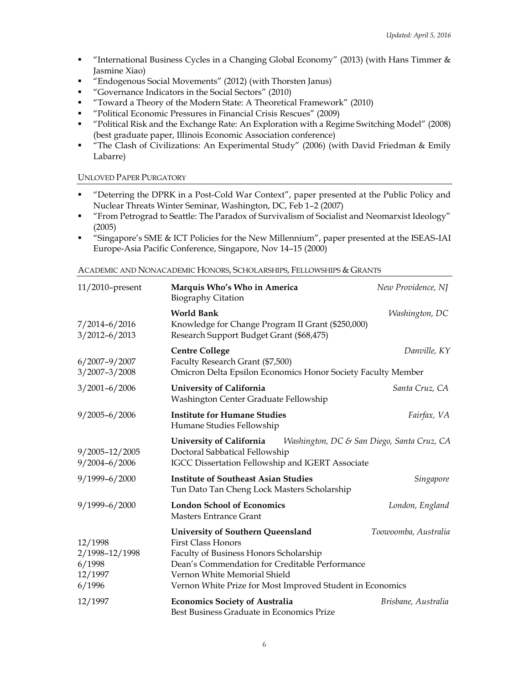- "International Business Cycles in a Changing Global Economy" (2013) (with Hans Timmer & Jasmine Xiao)
- "Endogenous Social Movements" (2012) (with Thorsten Janus)
- "Governance Indicators in the Social Sectors" (2010)
- "Toward a Theory of the Modern State: A Theoretical Framework" (2010)
- "Political Economic Pressures in Financial Crisis Rescues" (2009)
- "Political Risk and the Exchange Rate: An Exploration with a Regime Switching Model" (2008) (best graduate paper, Illinois Economic Association conference)
- "The Clash of Civilizations: An Experimental Study" (2006) (with David Friedman & Emily Labarre)

## UNLOVED PAPER PURGATORY

- "Deterring the DPRK in a Post-Cold War Context", paper presented at the Public Policy and Nuclear Threats Winter Seminar, Washington, DC, Feb 1–2 (2007)
- "From Petrograd to Seattle: The Paradox of Survivalism of Socialist and Neomarxist Ideology" (2005)
- "Singapore's SME & ICT Policies for the New Millennium", paper presented at the ISEAS-IAI Europe-Asia Pacific Conference, Singapore, Nov 14–15 (2000)

ACADEMIC AND NONACADEMIC HONORS, SCHOLARSHIPS, FELLOWSHIPS & GRANTS

| $11/2010$ -present                                       | Marquis Who's Who in America<br><b>Biography Citation</b>                                                                                                                                                                                               | New Providence, NJ   |
|----------------------------------------------------------|---------------------------------------------------------------------------------------------------------------------------------------------------------------------------------------------------------------------------------------------------------|----------------------|
| $7/2014 - 6/2016$<br>$3/2012 - 6/2013$                   | <b>World Bank</b><br>Knowledge for Change Program II Grant (\$250,000)<br>Research Support Budget Grant (\$68,475)                                                                                                                                      | Washington, DC       |
| $6/2007 - 9/2007$<br>$3/2007 - 3/2008$                   | <b>Centre College</b><br>Faculty Research Grant (\$7,500)<br>Omicron Delta Epsilon Economics Honor Society Faculty Member                                                                                                                               | Danville, KY         |
| $3/2001 - 6/2006$                                        | University of California<br>Washington Center Graduate Fellowship                                                                                                                                                                                       | Santa Cruz, CA       |
| $9/2005 - 6/2006$                                        | <b>Institute for Humane Studies</b><br>Humane Studies Fellowship                                                                                                                                                                                        | Fairfax, VA          |
| 9/2005-12/2005<br>$9/2004 - 6/2006$                      | University of California<br>Washington, DC & San Diego, Santa Cruz, CA<br>Doctoral Sabbatical Fellowship<br>IGCC Dissertation Fellowship and IGERT Associate                                                                                            |                      |
| $9/1999 - 6/2000$                                        | <b>Institute of Southeast Asian Studies</b><br>Tun Dato Tan Cheng Lock Masters Scholarship                                                                                                                                                              | Singapore            |
| 9/1999-6/2000                                            | <b>London School of Economics</b><br><b>Masters Entrance Grant</b>                                                                                                                                                                                      | London, England      |
| 12/1998<br>2/1998-12/1998<br>6/1998<br>12/1997<br>6/1996 | University of Southern Queensland<br><b>First Class Honors</b><br>Faculty of Business Honors Scholarship<br>Dean's Commendation for Creditable Performance<br>Vernon White Memorial Shield<br>Vernon White Prize for Most Improved Student in Economics | Toowoomba, Australia |
| 12/1997                                                  | <b>Economics Society of Australia</b><br>Best Business Graduate in Economics Prize                                                                                                                                                                      | Brisbane, Australia  |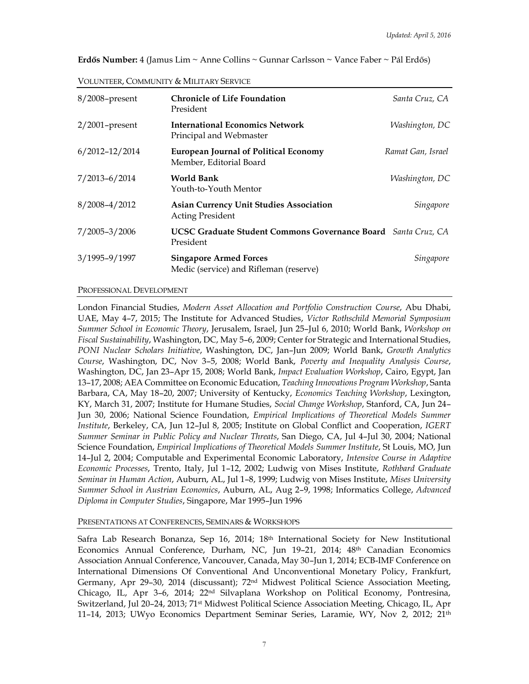| Erdős Number: 4 (Jamus Lim ~ Anne Collins ~ Gunnar Carlsson ~ Vance Faber ~ Pál Erdős) |  |
|----------------------------------------------------------------------------------------|--|
|----------------------------------------------------------------------------------------|--|

| 8/2008-present     | <b>Chronicle of Life Foundation</b><br>President                                  | Santa Cruz, CA    |
|--------------------|-----------------------------------------------------------------------------------|-------------------|
| $2/2001$ -present  | <b>International Economics Network</b><br>Principal and Webmaster                 | Washington, DC    |
| $6/2012 - 12/2014$ | <b>European Journal of Political Economy</b><br>Member, Editorial Board           | Ramat Gan, Israel |
| $7/2013 - 6/2014$  | <b>World Bank</b><br>Youth-to-Youth Mentor                                        | Washington, DC    |
| $8/2008 - 4/2012$  | <b>Asian Currency Unit Studies Association</b><br><b>Acting President</b>         | Singapore         |
| $7/2005 - 3/2006$  | <b>UCSC Graduate Student Commons Governance Board</b> Santa Cruz, CA<br>President |                   |
| 3/1995-9/1997      | <b>Singapore Armed Forces</b><br>Medic (service) and Rifleman (reserve)           | Singapore         |

#### PROFESSIONAL DEVELOPMENT

London Financial Studies, *Modern Asset Allocation and Portfolio Construction Course*, Abu Dhabi, UAE, May 4–7, 2015; The Institute for Advanced Studies, *Victor Rothschild Memorial Symposium Summer School in Economic Theory*, Jerusalem, Israel, Jun 25–Jul 6, 2010; World Bank, *Workshop on Fiscal Sustainability*, Washington, DC, May 5–6, 2009; Center for Strategic and International Studies, *PONI Nuclear Scholars Initiative*, Washington, DC, Jan–Jun 2009; World Bank, *Growth Analytics Course*, Washington, DC, Nov 3–5, 2008; World Bank, *Poverty and Inequality Analysis Course*, Washington, DC, Jan 23–Apr 15, 2008; World Bank, *Impact Evaluation Workshop*, Cairo, Egypt, Jan 13–17, 2008; AEA Committee on Economic Education, *Teaching Innovations Program Workshop*, Santa Barbara, CA, May 18–20, 2007; University of Kentucky, *Economics Teaching Workshop*, Lexington, KY, March 31, 2007; Institute for Humane Studies, *Social Change Workshop*, Stanford, CA, Jun 24– Jun 30, 2006; National Science Foundation, *Empirical Implications of Theoretical Models Summer Institute*, Berkeley, CA, Jun 12–Jul 8, 2005; Institute on Global Conflict and Cooperation, *IGERT Summer Seminar in Public Policy and Nuclear Threats*, San Diego, CA, Jul 4–Jul 30, 2004; National Science Foundation, *Empirical Implications of Theoretical Models Summer Institute*, St Louis, MO, Jun 14–Jul 2, 2004; Computable and Experimental Economic Laboratory, *Intensive Course in Adaptive Economic Processes*, Trento, Italy, Jul 1–12, 2002; Ludwig von Mises Institute, *Rothbard Graduate Seminar in Human Action*, Auburn, AL, Jul 1–8, 1999; Ludwig von Mises Institute, *Mises University Summer School in Austrian Economics*, Auburn, AL, Aug 2–9, 1998; Informatics College, *Advanced Diploma in Computer Studies*, Singapore, Mar 1995–Jun 1996

#### PRESENTATIONS AT CONFERENCES, SEMINARS & WORKSHOPS

Safra Lab Research Bonanza, Sep 16, 2014; 18<sup>th</sup> International Society for New Institutional Economics Annual Conference, Durham, NC, Jun 19–21, 2014; 48th Canadian Economics Association Annual Conference, Vancouver, Canada, May 30–Jun 1, 2014; ECB-IMF Conference on International Dimensions Of Conventional And Unconventional Monetary Policy, Frankfurt, Germany, Apr 29-30, 2014 (discussant); 72<sup>nd</sup> Midwest Political Science Association Meeting, Chicago, IL, Apr 3–6, 2014; 22nd Silvaplana Workshop on Political Economy, Pontresina, Switzerland, Jul 20–24, 2013; 71st Midwest Political Science Association Meeting, Chicago, IL, Apr 11–14, 2013; UWyo Economics Department Seminar Series, Laramie, WY, Nov 2, 2012; 21th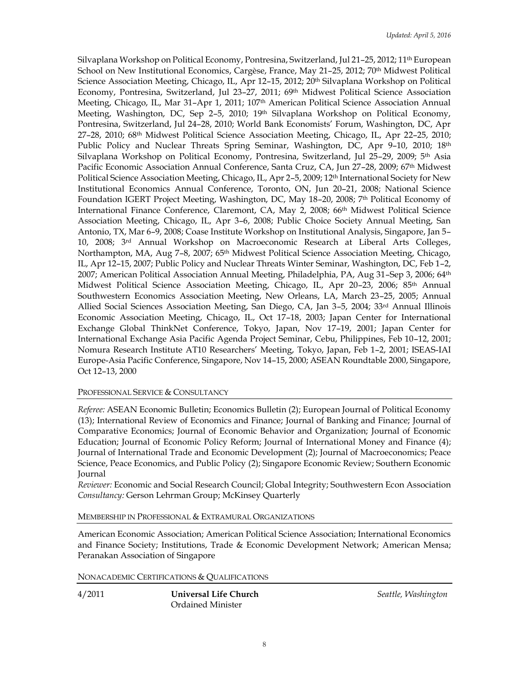Silvaplana Workshop on Political Economy, Pontresina, Switzerland, Jul 21-25, 2012; 11<sup>th</sup> European School on New Institutional Economics, Cargèse, France, May 21-25, 2012; 70<sup>th</sup> Midwest Political Science Association Meeting, Chicago, IL, Apr 12-15, 2012; 20<sup>th</sup> Silvaplana Workshop on Political Economy, Pontresina, Switzerland, Jul 23-27, 2011; 69<sup>th</sup> Midwest Political Science Association Meeting, Chicago, IL, Mar 31–Apr 1, 2011; 107th American Political Science Association Annual Meeting, Washington, DC, Sep 2–5, 2010; 19 th Silvaplana Workshop on Political Economy, Pontresina, Switzerland, Jul 24–28, 2010; World Bank Economists' Forum, Washington, DC, Apr 27–28, 2010; 68 th Midwest Political Science Association Meeting, Chicago, IL, Apr 22–25, 2010; Public Policy and Nuclear Threats Spring Seminar, Washington, DC, Apr 9-10, 2010; 18<sup>th</sup> Silvaplana Workshop on Political Economy, Pontresina, Switzerland, Jul 25–29, 2009; 5 th Asia Pacific Economic Association Annual Conference, Santa Cruz, CA, Jun 27–28, 2009; 67th Midwest Political Science Association Meeting, Chicago, IL, Apr 2–5, 2009; 12th International Society for New Institutional Economics Annual Conference, Toronto, ON, Jun 20–21, 2008; National Science Foundation IGERT Project Meeting, Washington, DC, May 18–20, 2008; 7 th Political Economy of International Finance Conference, Claremont, CA, May 2, 2008; 66th Midwest Political Science Association Meeting, Chicago, IL, Apr 3–6, 2008; Public Choice Society Annual Meeting, San Antonio, TX, Mar 6–9, 2008; Coase Institute Workshop on Institutional Analysis, Singapore, Jan 5– 10, 2008; 3<sup>rd</sup> Annual Workshop on Macroeconomic Research at Liberal Arts Colleges, Northampton, MA, Aug 7–8, 2007; 65th Midwest Political Science Association Meeting, Chicago, IL, Apr 12–15, 2007; Public Policy and Nuclear Threats Winter Seminar, Washington, DC, Feb 1–2, 2007; American Political Association Annual Meeting, Philadelphia, PA, Aug 31–Sep 3, 2006; 64th Midwest Political Science Association Meeting, Chicago, IL, Apr 20–23, 2006; 85th Annual Southwestern Economics Association Meeting, New Orleans, LA, March 23–25, 2005; Annual Allied Social Sciences Association Meeting, San Diego, CA, Jan 3–5, 2004; 33rd Annual Illinois Economic Association Meeting, Chicago, IL, Oct 17–18, 2003; Japan Center for International Exchange Global ThinkNet Conference, Tokyo, Japan, Nov 17–19, 2001; Japan Center for International Exchange Asia Pacific Agenda Project Seminar, Cebu, Philippines, Feb 10–12, 2001; Nomura Research Institute AT10 Researchers' Meeting, Tokyo, Japan, Feb 1–2, 2001; ISEAS-IAI Europe-Asia Pacific Conference, Singapore, Nov 14–15, 2000; ASEAN Roundtable 2000, Singapore, Oct 12–13, 2000

#### PROFESSIONAL SERVICE & CONSULTANCY

*Referee:* ASEAN Economic Bulletin; Economics Bulletin (2); European Journal of Political Economy (13); International Review of Economics and Finance; Journal of Banking and Finance; Journal of Comparative Economics; Journal of Economic Behavior and Organization; Journal of Economic Education; Journal of Economic Policy Reform; Journal of International Money and Finance (4); Journal of International Trade and Economic Development (2); Journal of Macroeconomics; Peace Science, Peace Economics, and Public Policy (2); Singapore Economic Review; Southern Economic Journal

*Reviewer:* Economic and Social Research Council; Global Integrity; Southwestern Econ Association *Consultancy:* Gerson Lehrman Group; McKinsey Quarterly

MEMBERSHIP IN PROFESSIONAL & EXTRAMURAL ORGANIZATIONS

American Economic Association; American Political Science Association; International Economics and Finance Society; Institutions, Trade & Economic Development Network; American Mensa; Peranakan Association of Singapore

NONACADEMIC CERTIFICATIONS & QUALIFICATIONS

4/2011 **Universal Life Church** *Seattle, Washington* Ordained Minister